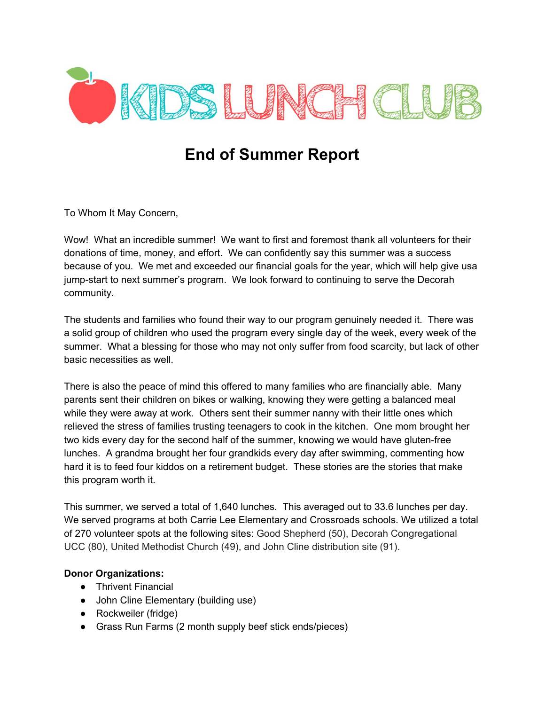

## **End of Summer Report**

To Whom It May Concern,

Wow! What an incredible summer! We want to first and foremost thank all volunteers for their donations of time, money, and effort. We can confidently say this summer was a success because of you. We met and exceeded our financial goals for the year, which will help give usa jumpstart to next summer's program. We look forward to continuing to serve the Decorah community.

The students and families who found their way to our program genuinely needed it. There was a solid group of children who used the program every single day of the week, every week of the summer. What a blessing for those who may not only suffer from food scarcity, but lack of other basic necessities as well.

There is also the peace of mind this offered to many families who are financially able. Many parents sent their children on bikes or walking, knowing they were getting a balanced meal while they were away at work. Others sent their summer nanny with their little ones which relieved the stress of families trusting teenagers to cook in the kitchen. One mom brought her two kids every day for the second half of the summer, knowing we would have gluten-free lunches. A grandma brought her four grandkids every day after swimming, commenting how hard it is to feed four kiddos on a retirement budget. These stories are the stories that make this program worth it.

This summer, we served a total of 1,640 lunches. This averaged out to 33.6 lunches per day. We served programs at both Carrie Lee Elementary and Crossroads schools. We utilized a total of 270 volunteer spots at the following sites: Good Shepherd (50), Decorah Congregational UCC (80), United Methodist Church (49), and John Cline distribution site (91).

## **Donor Organizations:**

- Thrivent Financial
- John Cline Elementary (building use)
- Rockweiler (fridge)
- Grass Run Farms (2 month supply beef stick ends/pieces)